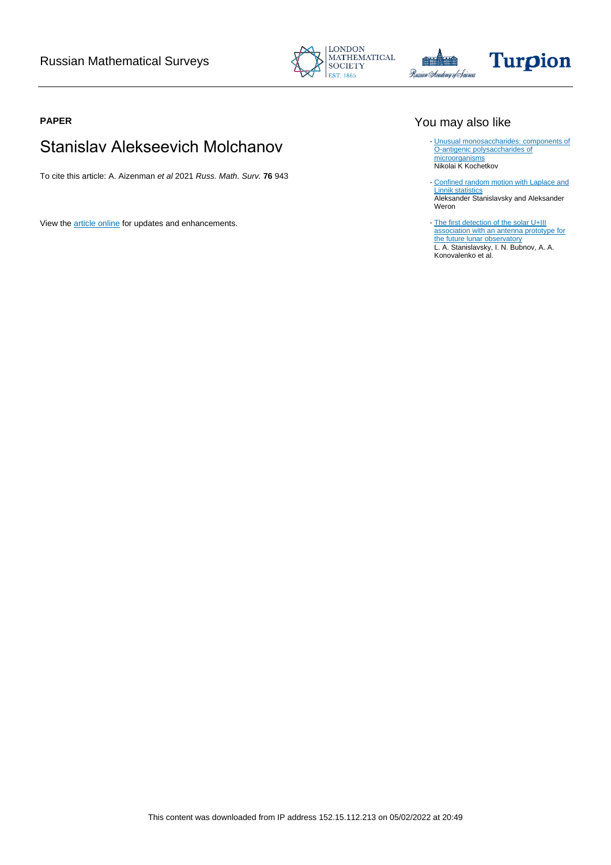





### **PAPER**

# Stanislav Alekseevich Molchanov

To cite this article: A. Aizenman et al 2021 Russ. Math. Surv. **76** 943

View the [article online](https://doi.org/10.1070/RM10024) for updates and enhancements.

# You may also like

- [Unusual monosaccharides: components of](/article/10.1070/RC1996v065n09ABEH000229) [O-antigenic polysaccharides of](/article/10.1070/RC1996v065n09ABEH000229) [microorganisms](/article/10.1070/RC1996v065n09ABEH000229) Nikolai K Kochetkov
- [Confined random motion with Laplace and](/article/10.1088/1751-8121/abd786) [Linnik statistics](/article/10.1088/1751-8121/abd786) **Aleksander Stanislavsky and Aleksander** Weron
- [The first detection of the solar U+III](/article/10.1088/1674-4527/21/8/187) [association with an antenna prototype for](/article/10.1088/1674-4527/21/8/187) [the future lunar observatory](/article/10.1088/1674-4527/21/8/187) L. A. Stanislavsky, I. N. Bubnov, A. A. Konovalenko et al.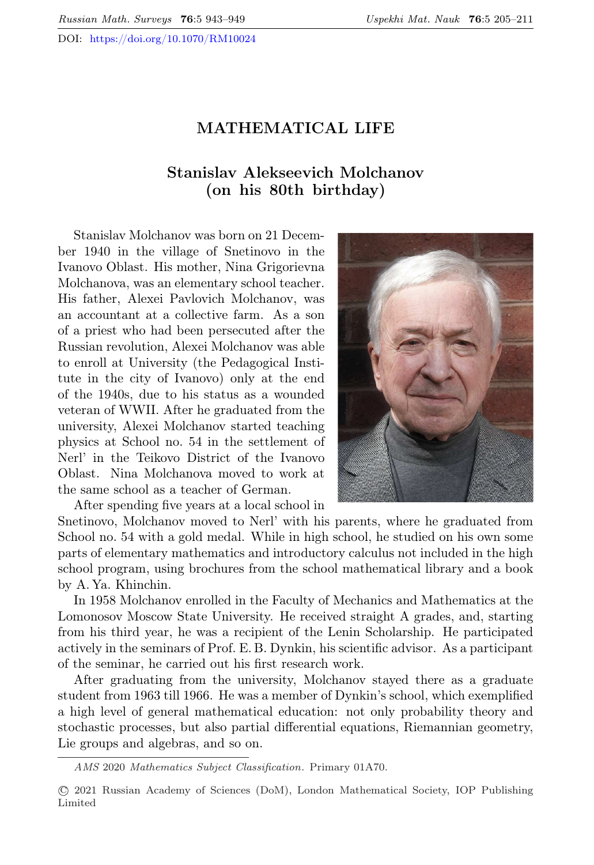DOI: <https://doi.org/10.1070/RM10024>

#### MATHEMATICAL LIFE

## Stanislav Alekseevich Molchanov (on his 80th birthday)

Stanislav Molchanov was born on 21 December 1940 in the village of Snetinovo in the Ivanovo Oblast. His mother, Nina Grigorievna Molchanova, was an elementary school teacher. His father, Alexei Pavlovich Molchanov, was an accountant at a collective farm. As a son of a priest who had been persecuted after the Russian revolution, Alexei Molchanov was able to enroll at University (the Pedagogical Institute in the city of Ivanovo) only at the end of the 1940s, due to his status as a wounded veteran of WWII. After he graduated from the university, Alexei Molchanov started teaching physics at School no. 54 in the settlement of Nerl' in the Teikovo District of the Ivanovo Oblast. Nina Molchanova moved to work at the same school as a teacher of German.



After spending five years at a local school in

Snetinovo, Molchanov moved to Nerl' with his parents, where he graduated from School no. 54 with a gold medal. While in high school, he studied on his own some parts of elementary mathematics and introductory calculus not included in the high school program, using brochures from the school mathematical library and a book by A. Ya. Khinchin.

In 1958 Molchanov enrolled in the Faculty of Mechanics and Mathematics at the Lomonosov Moscow State University. He received straight A grades, and, starting from his third year, he was a recipient of the Lenin Scholarship. He participated actively in the seminars of Prof. E. B. Dynkin, his scientific advisor. As a participant of the seminar, he carried out his first research work.

After graduating from the university, Molchanov stayed there as a graduate student from 1963 till 1966. He was a member of Dynkin's school, which exemplified a high level of general mathematical education: not only probability theory and stochastic processes, but also partial differential equations, Riemannian geometry, Lie groups and algebras, and so on.

AMS 2020 Mathematics Subject Classification. Primary 01A70.

<sup>⃝</sup>c 2021 Russian Academy of Sciences (DoM), London Mathematical Society, IOP Publishing Limited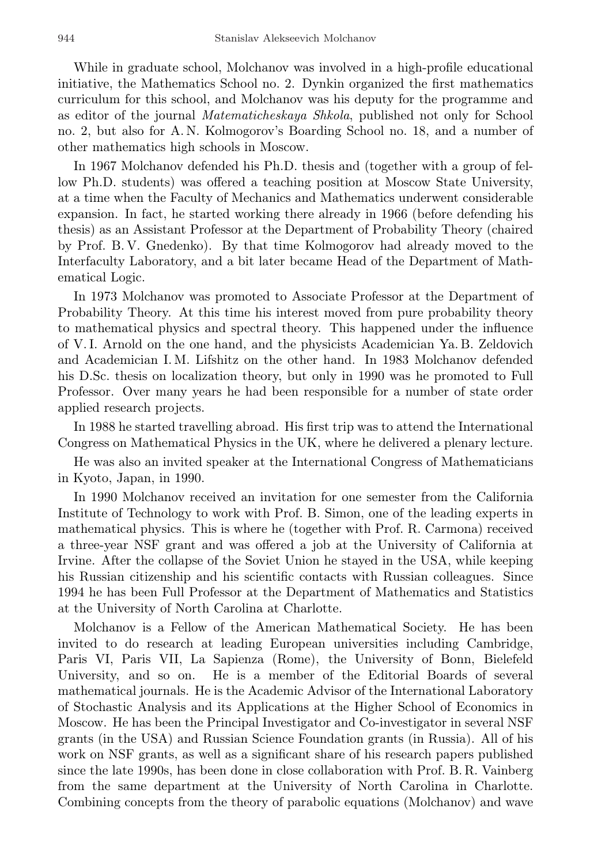While in graduate school, Molchanov was involved in a high-profile educational initiative, the Mathematics School no. 2. Dynkin organized the first mathematics curriculum for this school, and Molchanov was his deputy for the programme and as editor of the journal Matematicheskaya Shkola, published not only for School no. 2, but also for A. N. Kolmogorov's Boarding School no. 18, and a number of other mathematics high schools in Moscow.

In 1967 Molchanov defended his Ph.D. thesis and (together with a group of fellow Ph.D. students) was offered a teaching position at Moscow State University, at a time when the Faculty of Mechanics and Mathematics underwent considerable expansion. In fact, he started working there already in 1966 (before defending his thesis) as an Assistant Professor at the Department of Probability Theory (chaired by Prof. B. V. Gnedenko). By that time Kolmogorov had already moved to the Interfaculty Laboratory, and a bit later became Head of the Department of Mathematical Logic.

In 1973 Molchanov was promoted to Associate Professor at the Department of Probability Theory. At this time his interest moved from pure probability theory to mathematical physics and spectral theory. This happened under the influence of V. I. Arnold on the one hand, and the physicists Academician Ya. B. Zeldovich and Academician I. M. Lifshitz on the other hand. In 1983 Molchanov defended his D.Sc. thesis on localization theory, but only in 1990 was he promoted to Full Professor. Over many years he had been responsible for a number of state order applied research projects.

In 1988 he started travelling abroad. His first trip was to attend the International Congress on Mathematical Physics in the UK, where he delivered a plenary lecture.

He was also an invited speaker at the International Congress of Mathematicians in Kyoto, Japan, in 1990.

In 1990 Molchanov received an invitation for one semester from the California Institute of Technology to work with Prof. B. Simon, one of the leading experts in mathematical physics. This is where he (together with Prof. R. Carmona) received a three-year NSF grant and was offered a job at the University of California at Irvine. After the collapse of the Soviet Union he stayed in the USA, while keeping his Russian citizenship and his scientific contacts with Russian colleagues. Since 1994 he has been Full Professor at the Department of Mathematics and Statistics at the University of North Carolina at Charlotte.

Molchanov is a Fellow of the American Mathematical Society. He has been invited to do research at leading European universities including Cambridge, Paris VI, Paris VII, La Sapienza (Rome), the University of Bonn, Bielefeld University, and so on. He is a member of the Editorial Boards of several mathematical journals. He is the Academic Advisor of the International Laboratory of Stochastic Analysis and its Applications at the Higher School of Economics in Moscow. He has been the Principal Investigator and Co-investigator in several NSF grants (in the USA) and Russian Science Foundation grants (in Russia). All of his work on NSF grants, as well as a significant share of his research papers published since the late 1990s, has been done in close collaboration with Prof. B. R. Vainberg from the same department at the University of North Carolina in Charlotte. Combining concepts from the theory of parabolic equations (Molchanov) and wave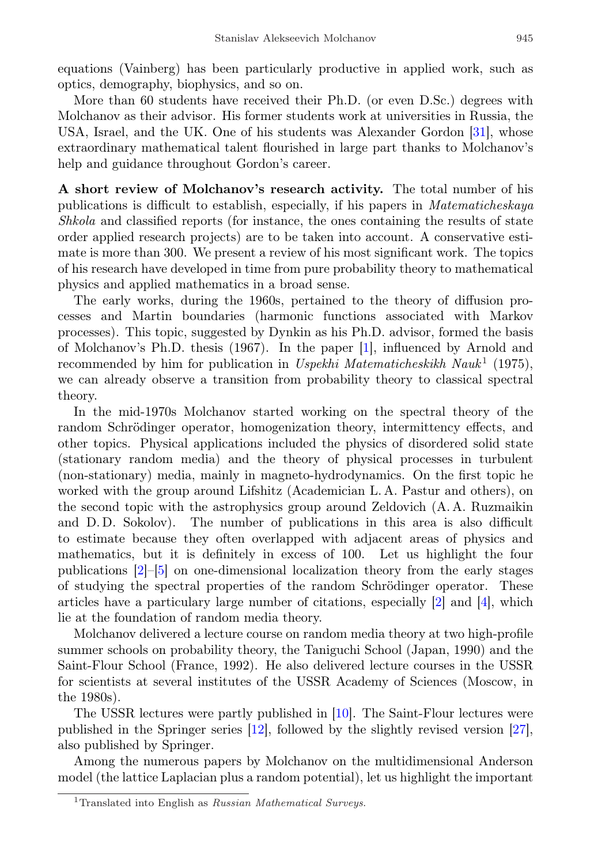equations (Vainberg) has been particularly productive in applied work, such as optics, demography, biophysics, and so on.

More than 60 students have received their Ph.D. (or even D.Sc.) degrees with Molchanov as their advisor. His former students work at universities in Russia, the USA, Israel, and the UK. One of his students was Alexander Gordon [\[31\]](#page-7-0), whose extraordinary mathematical talent flourished in large part thanks to Molchanov's help and guidance throughout Gordon's career.

A short review of Molchanov's research activity. The total number of his publications is difficult to establish, especially, if his papers in Matematicheskaya Shkola and classified reports (for instance, the ones containing the results of state order applied research projects) are to be taken into account. A conservative estimate is more than 300. We present a review of his most significant work. The topics of his research have developed in time from pure probability theory to mathematical physics and applied mathematics in a broad sense.

The early works, during the 1960s, pertained to the theory of diffusion processes and Martin boundaries (harmonic functions associated with Markov processes). This topic, suggested by Dynkin as his Ph.D. advisor, formed the basis of Molchanov's Ph.D. thesis (1967). In the paper [\[1\]](#page-5-0), influenced by Arnold and recommended by him for publication in Uspekhi Matematicheskikh Nauk<sup>[1](#page-3-0)</sup> (1975), we can already observe a transition from probability theory to classical spectral theory.

In the mid-1970s Molchanov started working on the spectral theory of the random Schrödinger operator, homogenization theory, intermittency effects, and other topics. Physical applications included the physics of disordered solid state (stationary random media) and the theory of physical processes in turbulent (non-stationary) media, mainly in magneto-hydrodynamics. On the first topic he worked with the group around Lifshitz (Academician L. A. Pastur and others), on the second topic with the astrophysics group around Zeldovich (A. A. Ruzmaikin and D. D. Sokolov). The number of publications in this area is also difficult to estimate because they often overlapped with adjacent areas of physics and mathematics, but it is definitely in excess of 100. Let us highlight the four publications [\[2\]](#page-5-1)–[\[5\]](#page-6-0) on one-dimensional localization theory from the early stages of studying the spectral properties of the random Schrödinger operator. These articles have a particulary large number of citations, especially  $[2]$  and  $[4]$ , which lie at the foundation of random media theory.

Molchanov delivered a lecture course on random media theory at two high-profile summer schools on probability theory, the Taniguchi School (Japan, 1990) and the Saint-Flour School (France, 1992). He also delivered lecture courses in the USSR for scientists at several institutes of the USSR Academy of Sciences (Moscow, in the 1980s).

The USSR lectures were partly published in [\[10\]](#page-6-1). The Saint-Flour lectures were published in the Springer series [\[12\]](#page-6-2), followed by the slightly revised version [\[27\]](#page-7-1), also published by Springer.

Among the numerous papers by Molchanov on the multidimensional Anderson model (the lattice Laplacian plus a random potential), let us highlight the important

<span id="page-3-0"></span><sup>&</sup>lt;sup>1</sup>Translated into English as *Russian Mathematical Surveys*.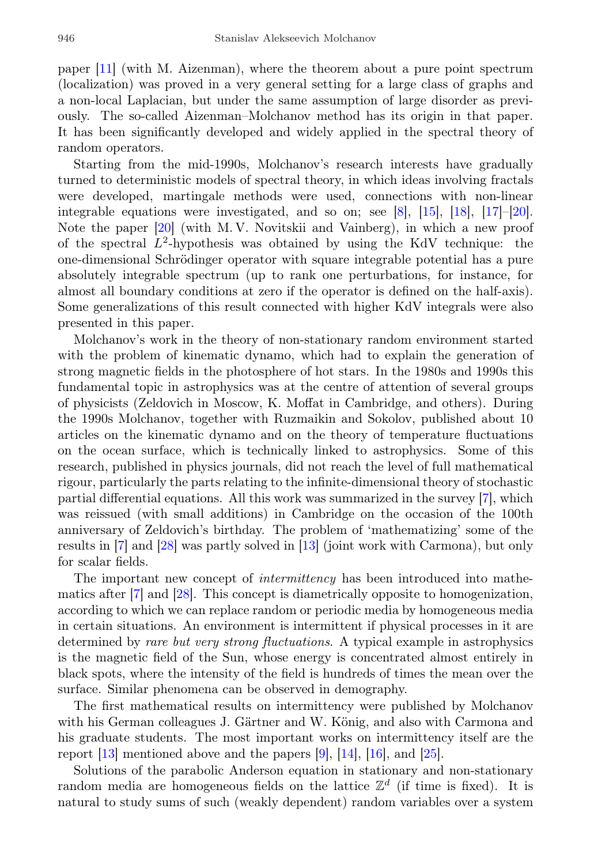paper [\[11\]](#page-6-3) (with M. Aizenman), where the theorem about a pure point spectrum (localization) was proved in a very general setting for a large class of graphs and a non-local Laplacian, but under the same assumption of large disorder as previously. The so-called Aizenman–Molchanov method has its origin in that paper. It has been significantly developed and widely applied in the spectral theory of random operators.

Starting from the mid-1990s, Molchanov's research interests have gradually turned to deterministic models of spectral theory, in which ideas involving fractals were developed, martingale methods were used, connections with non-linear integrable equations were investigated, and so on; see [\[8\]](#page-6-4), [\[15\]](#page-6-5), [\[18\]](#page-6-6), [\[17\]](#page-6-7)–[\[20\]](#page-6-8). Note the paper [\[20\]](#page-6-8) (with M. V. Novitskii and Vainberg), in which a new proof of the spectral  $L^2$ -hypothesis was obtained by using the KdV technique: the one-dimensional Schrödinger operator with square integrable potential has a pure absolutely integrable spectrum (up to rank one perturbations, for instance, for almost all boundary conditions at zero if the operator is defined on the half-axis). Some generalizations of this result connected with higher KdV integrals were also presented in this paper.

Molchanov's work in the theory of non-stationary random environment started with the problem of kinematic dynamo, which had to explain the generation of strong magnetic fields in the photosphere of hot stars. In the 1980s and 1990s this fundamental topic in astrophysics was at the centre of attention of several groups of physicists (Zeldovich in Moscow, K. Moffat in Cambridge, and others). During the 1990s Molchanov, together with Ruzmaikin and Sokolov, published about 10 articles on the kinematic dynamo and on the theory of temperature fluctuations on the ocean surface, which is technically linked to astrophysics. Some of this research, published in physics journals, did not reach the level of full mathematical rigour, particularly the parts relating to the infinite-dimensional theory of stochastic partial differential equations. All this work was summarized in the survey [\[7\]](#page-6-9), which was reissued (with small additions) in Cambridge on the occasion of the 100th anniversary of Zeldovich's birthday. The problem of 'mathematizing' some of the results in [\[7\]](#page-6-9) and [\[28\]](#page-7-2) was partly solved in [\[13\]](#page-6-10) (joint work with Carmona), but only for scalar fields.

The important new concept of intermittency has been introduced into mathematics after [\[7\]](#page-6-9) and [\[28\]](#page-7-2). This concept is diametrically opposite to homogenization, according to which we can replace random or periodic media by homogeneous media in certain situations. An environment is intermittent if physical processes in it are determined by rare but very strong fluctuations. A typical example in astrophysics is the magnetic field of the Sun, whose energy is concentrated almost entirely in black spots, where the intensity of the field is hundreds of times the mean over the surface. Similar phenomena can be observed in demography.

The first mathematical results on intermittency were published by Molchanov with his German colleagues J. Gärtner and W. König, and also with Carmona and his graduate students. The most important works on intermittency itself are the report  $[13]$  mentioned above and the papers  $[9]$ ,  $[14]$ ,  $[16]$ , and  $[25]$ .

Solutions of the parabolic Anderson equation in stationary and non-stationary random media are homogeneous fields on the lattice  $\mathbb{Z}^d$  (if time is fixed). It is natural to study sums of such (weakly dependent) random variables over a system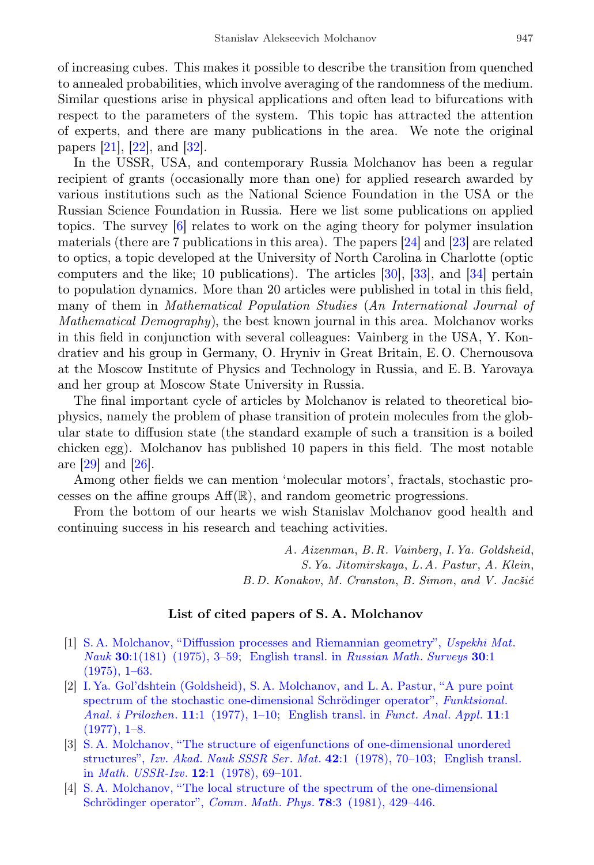of increasing cubes. This makes it possible to describe the transition from quenched to annealed probabilities, which involve averaging of the randomness of the medium. Similar questions arise in physical applications and often lead to bifurcations with respect to the parameters of the system. This topic has attracted the attention of experts, and there are many publications in the area. We note the original papers [\[21\]](#page-6-14), [\[22\]](#page-6-15), and [\[32\]](#page-7-4).

In the USSR, USA, and contemporary Russia Molchanov has been a regular recipient of grants (occasionally more than one) for applied research awarded by various institutions such as the National Science Foundation in the USA or the Russian Science Foundation in Russia. Here we list some publications on applied topics. The survey [\[6\]](#page-6-16) relates to work on the aging theory for polymer insulation materials (there are 7 publications in this area). The papers  $[24]$  and  $[23]$  are related to optics, a topic developed at the University of North Carolina in Charlotte (optic computers and the like; 10 publications). The articles [\[30\]](#page-7-7), [\[33\]](#page-7-8), and [\[34\]](#page-7-9) pertain to population dynamics. More than 20 articles were published in total in this field, many of them in Mathematical Population Studies (An International Journal of Mathematical Demography), the best known journal in this area. Molchanov works in this field in conjunction with several colleagues: Vainberg in the USA, Y. Kondratiev and his group in Germany, O. Hryniv in Great Britain, E. O. Chernousova at the Moscow Institute of Physics and Technology in Russia, and E. B. Yarovaya and her group at Moscow State University in Russia.

The final important cycle of articles by Molchanov is related to theoretical biophysics, namely the problem of phase transition of protein molecules from the globular state to diffusion state (the standard example of such a transition is a boiled chicken egg). Molchanov has published 10 papers in this field. The most notable are [\[29\]](#page-7-10) and [\[26\]](#page-7-11).

Among other fields we can mention 'molecular motors', fractals, stochastic processes on the affine groups  $\text{Aff}(\mathbb{R})$ , and random geometric progressions.

From the bottom of our hearts we wish Stanislav Molchanov good health and continuing success in his research and teaching activities.

> A. Aizenman, B.R. Vainberg, I.Ya. Goldsheid, S.Ya. Jitomirskaya, L.A. Pastur, A. Klein, B.D. Konakov, M. Cranston, B. Simon, and V. Jacšić

#### List of cited papers of S. A. Molchanov

- <span id="page-5-0"></span>[1] [S. A. Molchanov, "Diffussion processes and Riemannian geometry",](http://mi.mathnet.ru/eng/rm4123) Uspekhi Mat. Nauk 30[:1\(181\) \(1975\), 3–59;](http://mi.mathnet.ru/eng/rm4123) [English transl. in](https://doi.org/10.1070/RM1975v030n01ABEH001400) Russian Math. Surveys 30:1  $(1975), 1–63.$
- <span id="page-5-1"></span>[2] [I. Ya. Gol'dshtein \(Goldsheid\), S. A. Molchanov, and L. A. Pastur, "A pure point](http://mi.mathnet.ru/eng/faa2039) spectrum of the stochastic one-dimensional Schrödinger operator", Funktsional. Anal. i Prilozhen. 11[:1 \(1977\), 1–10;](http://mi.mathnet.ru/eng/faa2039) [English transl. in](https://doi.org/10.1007/BF01135526) Funct. Anal. Appl. 11:1  $(1977), 1-8.$
- [3] [S. A. Molchanov, "The structure of eigenfunctions of one-dimensional unordered](http://mi.mathnet.ru/eng/im1692) structures", Izv. Akad. Nauk SSSR Ser. Mat. 42[:1 \(1978\), 70–103;](http://mi.mathnet.ru/eng/im1692) [English transl.](https://doi.org/10.1070/IM1978v012n01ABEH001841) in Math. USSR-Izv. 12[:1 \(1978\), 69–101.](https://doi.org/10.1070/IM1978v012n01ABEH001841)
- <span id="page-5-2"></span>[4] [S. A. Molchanov, "The local structure of the spectrum of the one-dimensional](https://doi.org/10.1007/bf01942333) Schrödinger operator", Comm. Math. Phys. 78:3 (1981), 429-446.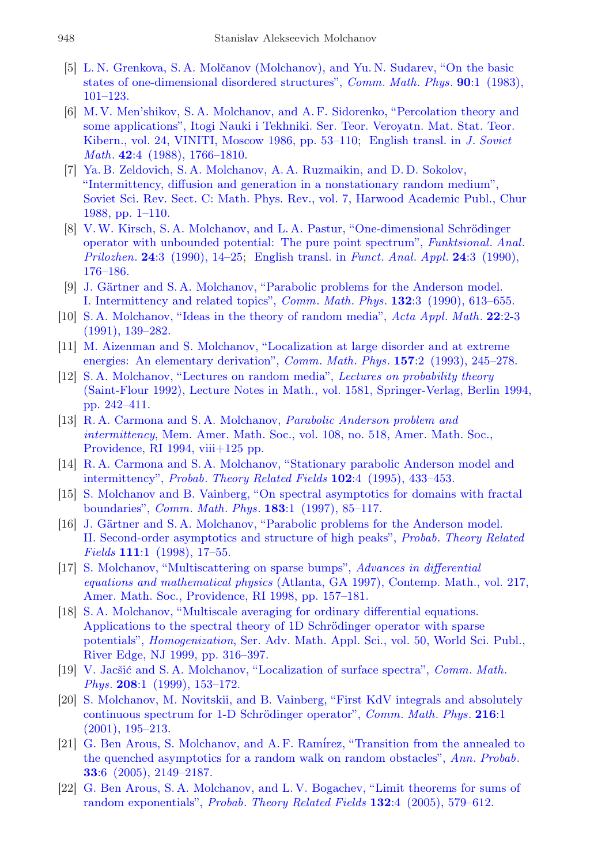- <span id="page-6-0"></span>[5] L. N. Grenkova, S. A. Molčanov (Molchanov), and Yu. N. Sudarev, "On the basic [states of one-dimensional disordered structures",](https://doi.org/10.1007/bf01209389) Comm. Math. Phys. 90:1 (1983), [101–123.](https://doi.org/10.1007/bf01209389)
- <span id="page-6-16"></span>[6] [M. V. Men'shikov, S. A. Molchanov, and A. F. Sidorenko, "Percolation theory and](http://mi.mathnet.ru/eng/intv65) [some applications", Itogi Nauki i Tekhniki. Ser. Teor. Veroyatn. Mat. Stat. Teor.](http://mi.mathnet.ru/eng/intv65) [Kibern., vol. 24, VINITI, Moscow 1986, pp. 53–110;](http://mi.mathnet.ru/eng/intv65) [English transl. in](https://doi.org/10.1007/BF01095508) J. Soviet Math. 42[:4 \(1988\), 1766–1810.](https://doi.org/10.1007/BF01095508)
- <span id="page-6-9"></span>[7] [Ya. B. Zeldovich, S. A. Molchanov, A. A. Ruzmaikin, and D. D. Sokolov,](https://zbmath.org/?q=an:0642.60039) ["Intermittency, diffusion and generation in a nonstationary random medium",](https://zbmath.org/?q=an:0642.60039) [Soviet Sci. Rev. Sect. C: Math. Phys. Rev., vol. 7, Harwood Academic Publ., Chur](https://zbmath.org/?q=an:0642.60039) [1988, pp. 1–110.](https://zbmath.org/?q=an:0642.60039)
- <span id="page-6-4"></span>[8] V.W. Kirsch, S.A. Molchanov, and L.A. Pastur, "One-dimensional Schrödinger" [operator with unbounded potential: The pure point spectrum",](http://mi.mathnet.ru/eng/faa951) Funktsional. Anal. Prilozhen. 24[:3 \(1990\), 14–25;](http://mi.mathnet.ru/eng/faa951) [English transl. in](https://doi.org/10.1007/BF01077958) Funct. Anal. Appl. 24:3 (1990), [176–186.](https://doi.org/10.1007/BF01077958)
- <span id="page-6-11"></span>[9] J. Gärtner and S.A. Molchanov, "Parabolic problems for the Anderson model. [I. Intermittency and related topics",](https://doi.org/10.1007/BF02156540) Comm. Math. Phys. 132:3 (1990), 613–655.
- <span id="page-6-1"></span>[10] [S. A. Molchanov, "Ideas in the theory of random media",](https://doi.org/10.1007/BF00580850) Acta Appl. Math. 22:2-3 [\(1991\), 139–282.](https://doi.org/10.1007/BF00580850)
- <span id="page-6-3"></span>[11] [M. Aizenman and S. Molchanov, "Localization at large disorder and at extreme](https://doi.org/10.1007/BF02099760) [energies: An elementary derivation",](https://doi.org/10.1007/BF02099760) *Comm. Math. Phys.* **157**:2 (1993), 245–278.
- <span id="page-6-2"></span>[12] [S. A. Molchanov, "Lectures on random media",](https://doi.org/10.1007/bfb0073874) Lectures on probability theory [\(Saint-Flour 1992\), Lecture Notes in Math., vol. 1581, Springer-Verlag, Berlin 1994,](https://doi.org/10.1007/bfb0073874) [pp. 242–411.](https://doi.org/10.1007/bfb0073874)
- <span id="page-6-10"></span>[13] [R. A. Carmona and S. A. Molchanov,](https://doi.org/10.1090/memo/0518) Parabolic Anderson problem and intermittency[, Mem. Amer. Math. Soc., vol. 108, no. 518, Amer. Math. Soc.,](https://doi.org/10.1090/memo/0518) [Providence, RI 1994, viii+125 pp.](https://doi.org/10.1090/memo/0518)
- <span id="page-6-12"></span>[14] [R. A. Carmona and S. A. Molchanov, "Stationary parabolic Anderson model and](https://doi.org/10.1007/BF01198845) intermittency", Probab. [Theory Related Fields](https://doi.org/10.1007/BF01198845) 102:4 (1995), 433-453.
- <span id="page-6-5"></span>[15] [S. Molchanov and B. Vainberg, "On spectral asymptotics for domains with fractal](https://doi.org/10.1007/BF02509797) boundaries", Comm. Math. Phys. 183[:1 \(1997\), 85–117.](https://doi.org/10.1007/BF02509797)
- <span id="page-6-13"></span>[16] J. Gärtner and S.A. Molchanov, "Parabolic problems for the Anderson model. [II. Second-order asymptotics and structure of high peaks",](https://doi.org/10.1007/s004400050161) Probab. Theory Related Fields 111[:1 \(1998\), 17–55.](https://doi.org/10.1007/s004400050161)
- <span id="page-6-7"></span>[17] [S. Molchanov, "Multiscattering on sparse bumps",](https://doi.org/10.1090/conm/217/02988) Advances in differential equations and mathematical physics [\(Atlanta, GA 1997\), Contemp. Math., vol. 217,](https://doi.org/10.1090/conm/217/02988) [Amer. Math. Soc., Providence, RI 1998, pp. 157–181.](https://doi.org/10.1090/conm/217/02988)
- <span id="page-6-6"></span>[18] [S. A. Molchanov, "Multiscale averaging for ordinary differential equations.](https://doi.org/10.1142/9789812812919_0012) Applications to the spectral theory of 1D Schrödinger operator with sparse potentials", Homogenization[, Ser. Adv. Math. Appl. Sci., vol. 50, World Sci. Publ.,](https://doi.org/10.1142/9789812812919_0012) [River Edge, NJ 1999, pp. 316–397.](https://doi.org/10.1142/9789812812919_0012)
- [19] V. Jacšić and S. A. Molchanov, "Localization of surface spectra", *Comm. Math.* Phys. 208[:1 \(1999\), 153–172.](https://doi.org/10.1007/s002200050752)
- <span id="page-6-8"></span>[20] [S. Molchanov, M. Novitskii, and B. Vainberg, "First KdV integrals and absolutely](https://doi.org/10.1007/s002200000333) continuous spectrum for 1-D Schrödinger operator", Comm. Math. Phys. 216:1 [\(2001\), 195–213.](https://doi.org/10.1007/s002200000333)
- <span id="page-6-14"></span>[21] G. Ben Arous, S. Molchanov, and A. F. Ramirez, "Transition from the annealed to [the quenched asymptotics for a random walk on random obstacles",](https://doi.org/10.1214/009117905000000404) Ann. Probab. 33[:6 \(2005\), 2149–2187.](https://doi.org/10.1214/009117905000000404)
- <span id="page-6-15"></span>[22] [G. Ben Arous, S. A. Molchanov, and L. V. Bogachev, "Limit theorems for sums of](https://doi.org/10.1007/s00440-004-0406-3) [random exponentials",](https://doi.org/10.1007/s00440-004-0406-3) Probab. Theory Related Fields 132:4 (2005), 579–612.